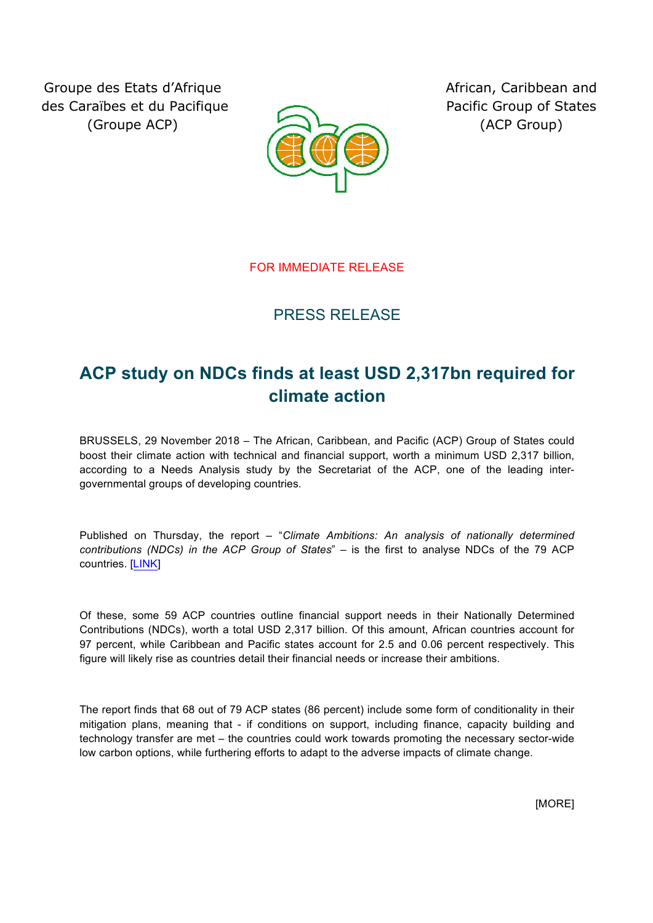Groupe des Etats d'Afrique des Caraïbes et du Pacifique (Groupe ACP)



African, Caribbean and Pacific Group of States (ACP Group)

FOR IMMEDIATE RELEASE

## PRESS RELEASE

## **ACP study on NDCs finds at least USD 2,317bn required for climate action**

BRUSSELS, 29 November 2018 – The African, Caribbean, and Pacific (ACP) Group of States could boost their climate action with technical and financial support, worth a minimum USD 2,317 billion, according to a Needs Analysis study by the Secretariat of the ACP, one of the leading intergovernmental groups of developing countries.

Published on Thursday, the report – "*Climate Ambitions: An analysis of nationally determined contributions (NDCs) in the ACP Group of States*" – is the first to analyse NDCs of the 79 ACP countries. [LINK]

Of these, some 59 ACP countries outline financial support needs in their Nationally Determined Contributions (NDCs), worth a total USD 2,317 billion. Of this amount, African countries account for 97 percent, while Caribbean and Pacific states account for 2.5 and 0.06 percent respectively. This figure will likely rise as countries detail their financial needs or increase their ambitions.

The report finds that 68 out of 79 ACP states (86 percent) include some form of conditionality in their mitigation plans, meaning that - if conditions on support, including finance, capacity building and technology transfer are met – the countries could work towards promoting the necessary sector-wide low carbon options, while furthering efforts to adapt to the adverse impacts of climate change.

[MORE]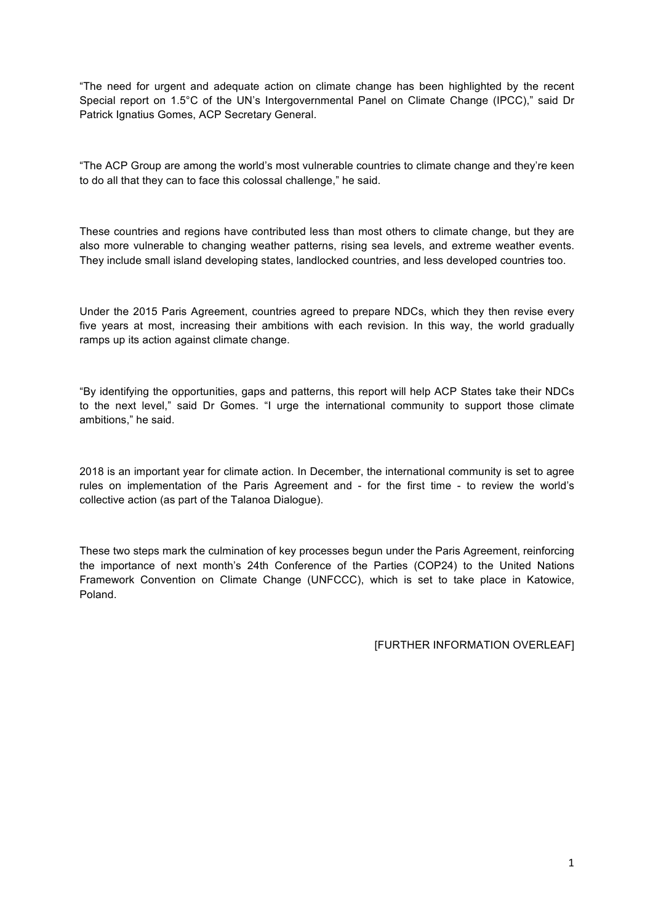"The need for urgent and adequate action on climate change has been highlighted by the recent Special report on 1.5°C of the UN's Intergovernmental Panel on Climate Change (IPCC)," said Dr Patrick Ignatius Gomes, ACP Secretary General.

"The ACP Group are among the world's most vulnerable countries to climate change and they're keen to do all that they can to face this colossal challenge," he said.

These countries and regions have contributed less than most others to climate change, but they are also more vulnerable to changing weather patterns, rising sea levels, and extreme weather events. They include small island developing states, landlocked countries, and less developed countries too.

Under the 2015 Paris Agreement, countries agreed to prepare NDCs, which they then revise every five years at most, increasing their ambitions with each revision. In this way, the world gradually ramps up its action against climate change.

"By identifying the opportunities, gaps and patterns, this report will help ACP States take their NDCs to the next level," said Dr Gomes. "I urge the international community to support those climate ambitions," he said.

2018 is an important year for climate action. In December, the international community is set to agree rules on implementation of the Paris Agreement and - for the first time - to review the world's collective action (as part of the Talanoa Dialogue).

These two steps mark the culmination of key processes begun under the Paris Agreement, reinforcing the importance of next month's 24th Conference of the Parties (COP24) to the United Nations Framework Convention on Climate Change (UNFCCC), which is set to take place in Katowice, Poland.

[FURTHER INFORMATION OVERLEAF]